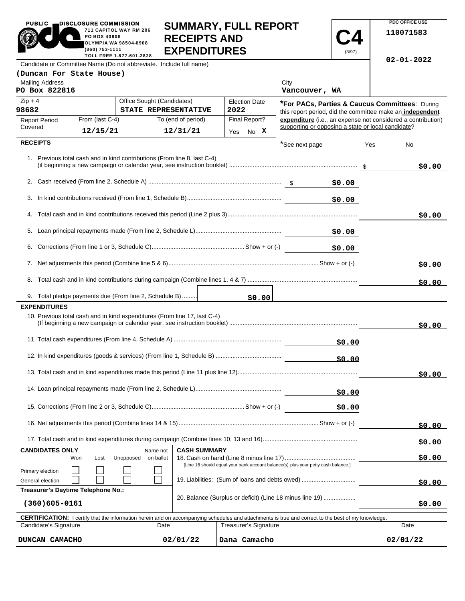| <b>PUBLIC</b>                                    | DISCLOSURE COMMISSION<br>PO BOX 40908<br>(360) 753-1111 | 711 CAPITOL WAY RM 206<br><b>OLYMPIA WA 98504-0908</b><br>TOLL FREE 1-877-601-2828 | <b>RECEIPTS AND</b><br><b>EXPENDITURES</b>                                | <b>SUMMARY, FULL REPORT</b>                                                       |                                                                                                             | (3/97) |     | PDC OFFICE USE<br>110071583                                  |
|--------------------------------------------------|---------------------------------------------------------|------------------------------------------------------------------------------------|---------------------------------------------------------------------------|-----------------------------------------------------------------------------------|-------------------------------------------------------------------------------------------------------------|--------|-----|--------------------------------------------------------------|
|                                                  |                                                         |                                                                                    | Candidate or Committee Name (Do not abbreviate. Include full name)        |                                                                                   |                                                                                                             |        |     | $02 - 01 - 2022$                                             |
| (Duncan For State House)                         |                                                         |                                                                                    |                                                                           |                                                                                   |                                                                                                             |        |     |                                                              |
| <b>Mailing Address</b><br>PO Box 822816          |                                                         |                                                                                    |                                                                           |                                                                                   | City<br>Vancouver, WA                                                                                       |        |     |                                                              |
| Office Sought (Candidates)<br>$Zip + 4$<br>98682 |                                                         |                                                                                    | STATE REPRESENTATIVE                                                      | <b>Election Date</b><br>2022                                                      | *For PACs, Parties & Caucus Committees: During<br>this report period, did the committee make an independent |        |     |                                                              |
| <b>Report Period</b>                             | From (last C-4)                                         |                                                                                    | To (end of period)                                                        | Final Report?                                                                     |                                                                                                             |        |     | expenditure (i.e., an expense not considered a contribution) |
| Covered                                          | 12/15/21                                                |                                                                                    | 12/31/21                                                                  | Yes No X                                                                          | supporting or opposing a state or local candidate?                                                          |        |     |                                                              |
| <b>RECEIPTS</b>                                  |                                                         |                                                                                    |                                                                           |                                                                                   | *See next page                                                                                              |        | Yes | No                                                           |
|                                                  |                                                         |                                                                                    | 1. Previous total cash and in kind contributions (From line 8, last C-4)  |                                                                                   |                                                                                                             |        |     | \$0.00                                                       |
|                                                  |                                                         |                                                                                    |                                                                           |                                                                                   |                                                                                                             | \$0.00 |     |                                                              |
|                                                  |                                                         |                                                                                    |                                                                           |                                                                                   |                                                                                                             | \$0.00 |     |                                                              |
|                                                  |                                                         |                                                                                    |                                                                           |                                                                                   |                                                                                                             |        |     | \$0.00                                                       |
|                                                  |                                                         |                                                                                    |                                                                           |                                                                                   |                                                                                                             | \$0.00 |     |                                                              |
|                                                  |                                                         |                                                                                    |                                                                           |                                                                                   |                                                                                                             | \$0.00 |     |                                                              |
|                                                  |                                                         |                                                                                    |                                                                           |                                                                                   |                                                                                                             |        |     | \$0.00                                                       |
|                                                  |                                                         |                                                                                    |                                                                           |                                                                                   |                                                                                                             |        |     | \$0.00                                                       |
|                                                  | 9. Total pledge payments due (From line 2, Schedule B)  |                                                                                    |                                                                           | \$0.00                                                                            |                                                                                                             |        |     |                                                              |
| <b>EXPENDITURES</b>                              |                                                         |                                                                                    |                                                                           |                                                                                   |                                                                                                             |        |     |                                                              |
|                                                  |                                                         |                                                                                    | 10. Previous total cash and in kind expenditures (From line 17, last C-4) |                                                                                   |                                                                                                             |        |     | \$0.00                                                       |
|                                                  |                                                         |                                                                                    |                                                                           |                                                                                   |                                                                                                             | \$0.00 |     |                                                              |
|                                                  |                                                         |                                                                                    |                                                                           |                                                                                   |                                                                                                             | \$0.00 |     |                                                              |
|                                                  |                                                         |                                                                                    |                                                                           |                                                                                   |                                                                                                             |        |     | \$0.00                                                       |
|                                                  |                                                         |                                                                                    |                                                                           |                                                                                   |                                                                                                             | \$0.00 |     |                                                              |
|                                                  |                                                         |                                                                                    |                                                                           |                                                                                   |                                                                                                             | \$0.00 |     |                                                              |
|                                                  |                                                         |                                                                                    |                                                                           |                                                                                   |                                                                                                             |        |     | \$0.00                                                       |
|                                                  |                                                         |                                                                                    |                                                                           |                                                                                   |                                                                                                             |        |     | \$0.00                                                       |
| <b>CANDIDATES ONLY</b>                           |                                                         | Name not                                                                           | <b>CASH SUMMARY</b>                                                       |                                                                                   |                                                                                                             |        |     |                                                              |
|                                                  | Won<br>Lost                                             | Unopposed<br>on ballot                                                             |                                                                           | [Line 18 should equal your bank account balance(s) plus your petty cash balance.] |                                                                                                             |        |     | \$0.00                                                       |
| Primary election                                 |                                                         |                                                                                    |                                                                           |                                                                                   |                                                                                                             |        |     |                                                              |
| General election                                 |                                                         |                                                                                    |                                                                           | 19. Liabilities: (Sum of loans and debts owed)                                    |                                                                                                             |        |     | \$0.00                                                       |

**PDC OFFICE USE** 

PUBLIC **DISCLOSURE COMMISSION** 

**Treasurer's Daytime Telephone No.:** 

| $(360)605 - 0161$                                                                                                                                          |          | Lo. Dalarioo (Odipido of dollolt) (Lino To fillingo lino To) | \$0.00   |  |  |  |  |  |
|------------------------------------------------------------------------------------------------------------------------------------------------------------|----------|--------------------------------------------------------------|----------|--|--|--|--|--|
| <b>CERTIFICATION:</b> I certify that the information herein and on accompanying schedules and attachments is true and correct to the best of my knowledge. |          |                                                              |          |  |  |  |  |  |
| Candidate's Signature                                                                                                                                      | Date     | <b>Treasurer's Signature</b>                                 | Date     |  |  |  |  |  |
| DUNCAN CAMACHO                                                                                                                                             | 02/01/22 | Dana Camacho                                                 | 02/01/22 |  |  |  |  |  |

20. Balance (Surplus or deficit) (Line 18 minus line 19) ...................